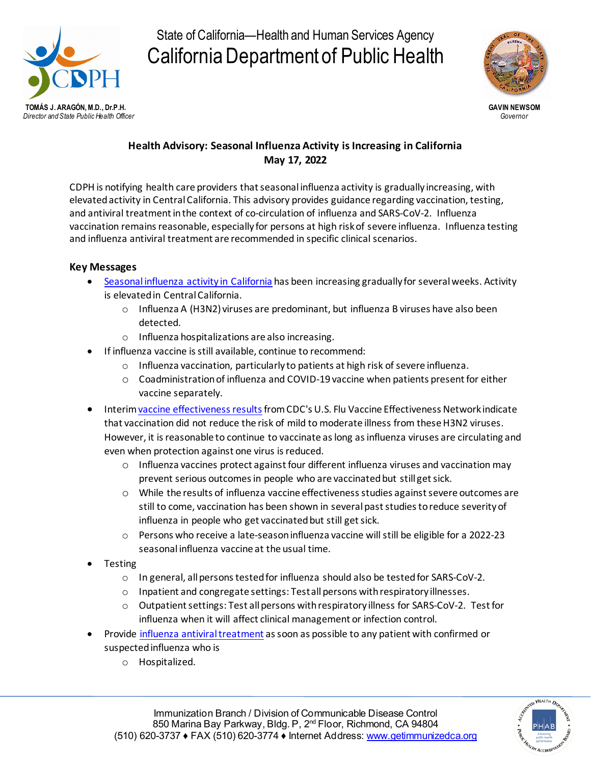

State of California—Health and Human Services Agency California Department of Public Health



## **Health Advisory: Seasonal Influenza Activity is Increasing in California May 17, 2022**

CDPH is notifying health care providers that seasonal influenza activity is gradually increasing, with elevated activity in Central California. This advisory provides guidance regarding vaccination, testing, and antiviral treatment in the context of co-circulation of influenza and SARS-CoV-2. Influenza vaccination remains reasonable, especially for persons at high risk of severe influenza. Influenza testing and influenza antiviral treatment are recommended in specific clinical scenarios.

## **Key Messages**

- [Seasonal influenza activity in California](https://www.cdph.ca.gov/Programs/CID/DCDC/Pages/Immunization/Influenza.aspx) has been increasing gradually for several weeks. Activity is elevated in Central California.
	- $\circ$  Influenza A (H3N2) viruses are predominant, but influenza B viruses have also been detected.
	- o Influenza hospitalizations are also increasing.
- If influenza vaccine is still available, continue to recommend:
	- o Influenza vaccination, particularly to patients at high risk of severe influenza.
	- o Coadministration of influenza and COVID-19 vaccine when patients present for either vaccine separately.
- Interi[m vaccine effectiveness results](https://www.cdc.gov/mmwr/volumes/71/wr/mm7110a1.htm) from CDC's U.S. Flu Vaccine Effectiveness Network indicate that vaccination did not reduce the risk of mild to moderate illness from these H3N2 viruses. However, it is reasonable to continue to vaccinate as long as influenza viruses are circulating and even when protection against one virus is reduced.
	- $\circ$  Influenza vaccines protect against four different influenza viruses and vaccination may prevent serious outcomes in people who are vaccinated but still get sick.
	- o While the results of influenza vaccine effectiveness studies against severe outcomes are still to come, vaccination has been shown in several past studies to reduce severity of influenza in people who get vaccinated but still get sick.
	- o Persons who receive a late-season influenza vaccine will still be eligible for a 2022-23 seasonal influenza vaccine at the usual time.
- Testing
	- o In general, all persons tested for influenza should also be tested for SARS-CoV-2.
	- o Inpatient and congregate settings: Test all persons with respiratory illnesses.
	- $\circ$  Outpatient settings: Test all persons with respiratory illness for SARS-CoV-2. Test for influenza when it will affect clinical management or infection control.
- Provide [influenza antiviral treatment](https://www.cdc.gov/flu/professionals/antivirals/index.htm) as soon as possible to any patient with confirmed or suspected influenza who is
	- o Hospitalized.